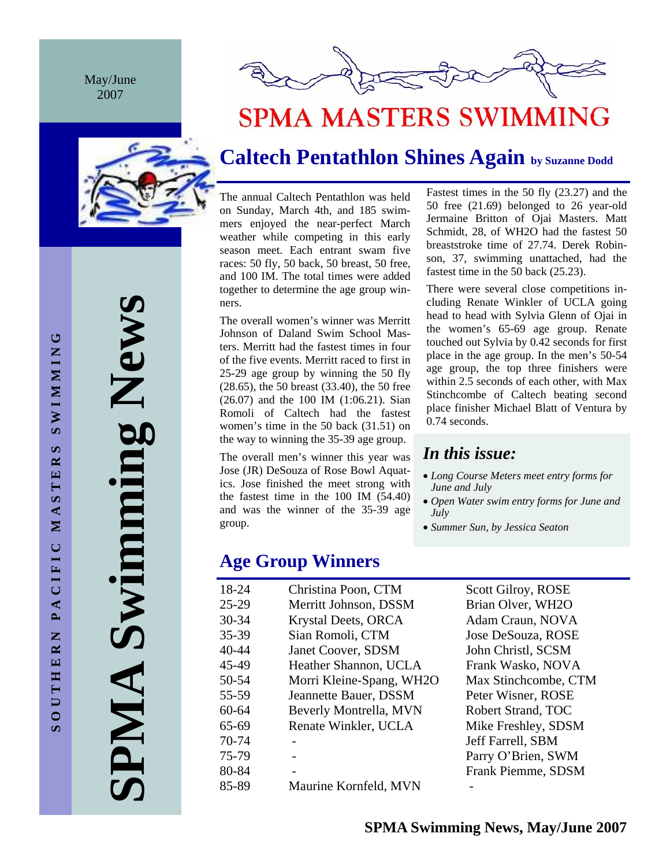May/June 2007



# **SPMA MASTERS SWIMMING**

### **Caltech Pentathlon Shines Again by Suzanne Dodd**

The annual Caltech Pentathlon was held on Sunday, March 4th, and 185 swimmers enjoyed the near-perfect March weather while competing in this early season meet. Each entrant swam five races: 50 fly, 50 back, 50 breast, 50 free, and 100 IM. The total times were added together to determine the age group winners.

The overall women's winner was Merritt Johnson of Daland Swim School Masters. Merritt had the fastest times in four of the five events. Merritt raced to first in 25-29 age group by winning the 50 fly (28.65), the 50 breast (33.40), the 50 free (26.07) and the 100 IM (1:06.21). Sian Romoli of Caltech had the fastest women's time in the 50 back (31.51) on the way to winning the 35-39 age group.

The overall men's winner this year was Jose (JR) DeSouza of Rose Bowl Aquatics. Jose finished the meet strong with the fastest time in the 100 IM (54.40) and was the winner of the 35-39 age group.

**Age Group Winners** 

| 18-24     | Christina Poon, CTM       |
|-----------|---------------------------|
| $25 - 29$ | Merritt Johnson, DSSM     |
| 30-34     | Krystal Deets, ORCA       |
| 35-39     | Sian Romoli, CTM          |
| 40-44     | <b>Janet Coover, SDSM</b> |
| 45-49     | Heather Shannon, UCLA     |
| 50-54     | Morri Kleine-Spang, WH2O  |
| 55-59     | Jeannette Bauer, DSSM     |
| $60 - 64$ | Beverly Montrella, MVN    |
| 65-69     | Renate Winkler, UCLA      |
| 70-74     |                           |
| 75-79     |                           |
| 80-84     |                           |
| 85-89     | Maurine Kornfeld, MVN     |

Fastest times in the 50 fly (23.27) and the 50 free (21.69) belonged to 26 year-old Jermaine Britton of Ojai Masters. Matt Schmidt, 28, of WH2O had the fastest 50 breaststroke time of 27.74. Derek Robinson, 37, swimming unattached, had the fastest time in the 50 back (25.23).

There were several close competitions including Renate Winkler of UCLA going head to head with Sylvia Glenn of Ojai in the women's 65-69 age group. Renate touched out Sylvia by 0.42 seconds for first place in the age group. In the men's 50-54 age group, the top three finishers were within 2.5 seconds of each other, with Max Stinchcombe of Caltech beating second place finisher Michael Blatt of Ventura by 0.74 seconds.

### *In this issue:*

- *Long Course Meters meet entry forms for June and July*
- *Open Water swim entry forms for June and July*
- *Summer Sun, by Jessica Seaton*

Scott Gilroy, ROSE Brian Olver, WH2O Adam Craun, NOVA Jose DeSouza, ROSE John Christl, SCSM Frank Wasko, NOVA Max Stinchcombe, CTM Peter Wisner, ROSE Robert Strand, TOC Mike Freshley, SDSM Jeff Farrell, SBM Parry O'Brien, SWM Frank Piemme, SDSM

**SPMA Swimming News**  Swimming New AIMP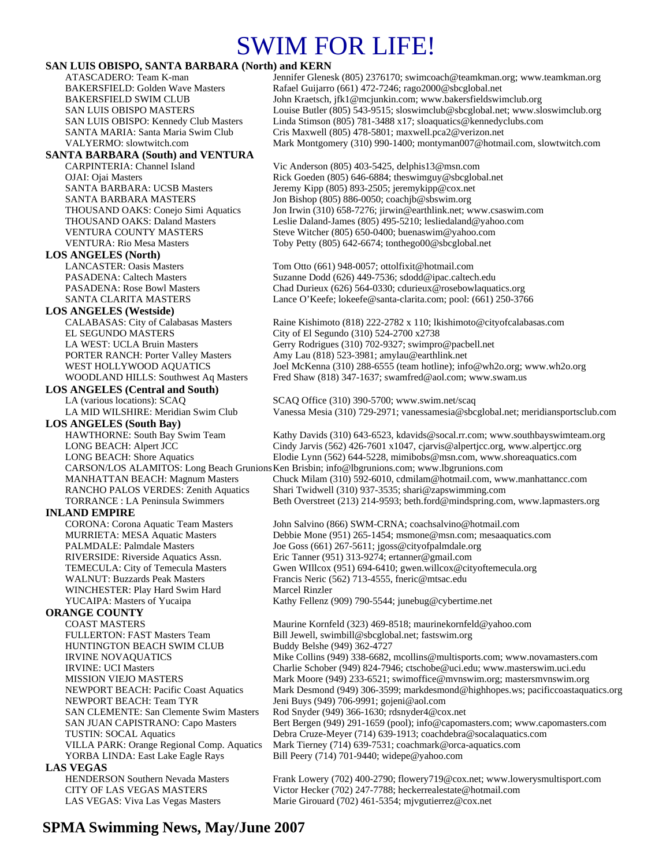## SWIM FOR LIFE!

#### **SAN LUIS OBISPO, SANTA BARBARA (North) and KERN**

#### **SANTA BARBARA (South) and VENTURA**

#### **LOS ANGELES (North)**

**LOS ANGELES (Westside)** EL SEGUNDO MASTERS City of El Segundo (310) 524-2700 x2738

#### **LOS ANGELES (Central and South)**

### **LOS ANGELES (South Bay)**

#### **INLAND EMPIRE**

WINCHESTER: Play Hard Swim Hard Marcel Rinzler

#### **ORANGE COUNTY**

HUNTINGTON BEACH SWIM CLUB<br>IRVINE NOVAQUATICS Mike Collins (949) 338-6682, NEWPORT BEACH: Team TYR Jeni Buys (949) 706-9991; gojeni@aol.com YORBA LINDA: East Lake Eagle Rays Bill Peery (714) 701-9440; widepe@yahoo.com **LAS VEGAS** 

ATASCADERO: Team K-man Jennifer Glenesk (805) 2376170; swimcoach@teamkman.org; www.teamkman.org BAKERSFIELD: Golden Wave Masters Rafael Guijarro (661) 472-7246; rago2000@sbcglobal.net BAKERSFIELD SWIM CLUB John Kraetsch, jfk1@mcjunkin.com; www.bakersfieldswimclub.org SAN LUIS OBISPO MASTERS Louise Butler (805) 543-9515; sloswimclub@sbcglobal.net; www.sloswimclub.org SAN LUIS OBISPO: Kennedy Club Masters Linda Stimson (805) 781-3488 x17; sloaquatics@kennedyclubs.com SANTA MARIA: Santa Maria Swim Club Cris Maxwell (805) 478-5801; maxwell.pca2@verizon.net VALYERMO: slowtwitch.com Mark Montgomery (310) 990-1400; montyman007@hotmail.com, slowtwitch.com

CARPINTERIA: Channel Island Vic Anderson (805) 403-5425, delphis13@msn.com OJAI: Ojai Masters Rick Goeden (805) 646-6884; theswimguy@sbcglobal.net SANTA BARBARA: UCSB Masters Jeremy Kipp (805) 893-2505; jeremykipp@cox.net SANTA BARBARA MASTERS Jon Bishop (805) 886-0050; coachjb@sbswim.org THOUSAND OAKS: Conejo Simi Aquatics Jon Irwin (310) 658-7276; jirwin@earthlink.net; www.csaswim.com THOUSAND OAKS: Daland Masters Leslie Daland-James (805) 495-5210; lesliedaland@yahoo.com VENTURA COUNTY MASTERS Steve Witcher (805) 650-0400; buenaswim@yahoo.com VENTURA: Rio Mesa Masters Toby Petty (805) 642-6674; tonthego00@sbcglobal.net

LANCASTER: Oasis Masters Tom Otto (661) 948-0057; ottolfixit@hotmail.com PASADENA: Caltech Masters Suzanne Dodd (626) 449-7536; sdodd@ipac.caltech.edu PASADENA: Rose Bowl Masters Chad Durieux (626) 564-0330; cdurieux@rosebowlaquatics.org SANTA CLARITA MASTERS Lance O'Keefe; lokeefe@santa-clarita.com; pool: (661) 250-3766

Raine Kishimoto (818) 222-2782 x 110; lkishimoto@cityofcalabasas.com LA WEST: UCLA Bruin Masters Gerry Rodrigues (310) 702-9327; swimpro@pacbell.net PORTER RANCH: Porter Valley Masters Amy Lau (818) 523-3981; amylau@earthlink.net WEST HOLLYWOOD AQUATICS Joel McKenna (310) 288-6555 (team hotline); info@wh2o.org; www.wh2o.org WOODLAND HILLS: Southwest Aq Masters Fred Shaw (818) 347-1637; swamfred@aol.com; www.swam.us

LA (various locations): SCAQ SCAQ Office (310) 390-5700; www.swim.net/scaq LA MID WILSHIRE: Meridian Swim Club Vanessa Mesia (310) 729-2971; vanessamesia@sbcglobal.net; meridiansportsclub.com

Kathy Davids (310) 643-6523, kdavids @socal.rr.com; www.southbayswimteam.org LONG BEACH: Alpert JCC Cindy Jarvis (562) 426-7601 x1047, cjarvis @alpertjcc.org, www.alpertjcc.org<br>LONG BEACH: Shore Aquatics Elodie Lynn (562) 644-5228, mimibobs @msn.com, www.shoreaquatics.com Elodie Lynn (562) 644-5228, mimibobs@msn.com, www.shoreaquatics.com CARSON/LOS ALAMITOS: Long Beach Grunions Ken Brisbin; info@lbgrunions.com; www.lbgrunions.com MANHATTAN BEACH: Magnum Masters Chuck Milam (310) 592-6010, cdmilam@hotmail.com, www.manhattancc.com RANCHO PALOS VERDES: Zenith Aquatics Shari Twidwell (310) 937-3535; shari@zapswimming.com

TORRANCE : LA Peninsula Swimmers Beth Overstreet (213) 214-9593; beth.ford@mindspring.com, www.lapmasters.org

CORONA: Corona Aquatic Team Masters John Salvino (866) SWM-CRNA; coachsalvino@hotmail.com MURRIETA: MESA Aquatic Masters Debbie Mone (951) 265-1454; msmone@msn.com; mesaaquatics.com PALMDALE: Palmdale Masters Joe Goss (661) 267-5611; jgoss@cityofpalmdale.org RIVERSIDE: Riverside Aquatics Assn. Eric Tanner (951) 313-9274; ertanner@gmail.com TEMECULA: City of Temecula Masters Gwen WIllcox (951) 694-6410; gwen.willcox@cityoftemecula.org<br>WALNUT: Buzzards Peak Masters Francis Neric (562) 713-4555, fneric@mtsac.edu Francis Neric (562) 713-4555, fneric@mtsac.edu YUCAIPA: Masters of Yucaipa Kathy Fellenz (909) 790-5544; junebug@cybertime.net

COAST MASTERS Maurine Kornfeld (323) 469-8518; maurinekornfeld@yahoo.com FULLERTON: FAST Masters Team Bill Jewell, swimbill@sbcglobal.net; fastswim.org Mike Collins (949) 338-6682, mcollins@multisports.com; www.novamasters.com IRVINE: UCI Masters Charlie Schober (949) 824-7946; ctschobe@uci.edu; www.masterswim.uci.edu<br>MISSION VIEJO MASTERS Mark Moore (949) 233-6521; swimoffice@mvnswim.org; mastersmvnswim.org Mark Moore (949) 233-6521; swimoffice@mvnswim.org; mastersmvnswim.org NEWPORT BEACH: Pacific Coast Aquatics Mark Desmond (949) 306-3599; markdesmond@highhopes.ws; pacificcoastaquatics.org SAN CLEMENTE: San Clemente Swim Masters Rod Snyder (949) 366-1630; rdsnyder4@cox.net SAN JUAN CAPISTRANO: Capo Masters Bert Bergen (949) 291-1659 (pool); info@capomasters.com; www.capomasters.com TUSTIN: SOCAL Aquatics Debra Cruze-Meyer (714) 639-1913; coachdebra@socalaquatics.com VILLA PARK: Orange Regional Comp. Aquatics Mark Tierney (714) 639-7531; coachmark@orca-aquatics.com

HENDERSON Southern Nevada Masters Frank Lowery (702) 400-2790; flowery719@cox.net; www.lowerysmultisport.com CITY OF LAS VEGAS MASTERS Victor Hecker (702) 247-7788; heckerrealestate@hotmail.com LAS VEGAS: Viva Las Vegas Masters Marie Girouard (702) 461-5354; mjvgutierrez@cox.net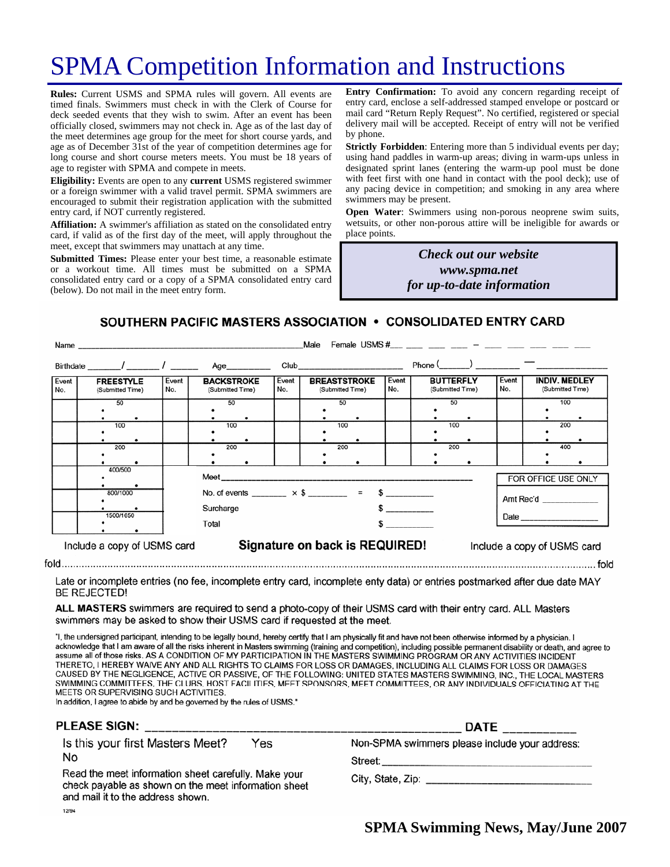# SPMA Competition Information and Instructions

**Rules:** Current USMS and SPMA rules will govern. All events are timed finals. Swimmers must check in with the Clerk of Course for deck seeded events that they wish to swim. After an event has been officially closed, swimmers may not check in. Age as of the last day of the meet determines age group for the meet for short course yards, and age as of December 31st of the year of competition determines age for long course and short course meters meets. You must be 18 years of age to register with SPMA and compete in meets.

**Eligibility:** Events are open to any **current** USMS registered swimmer or a foreign swimmer with a valid travel permit. SPMA swimmers are encouraged to submit their registration application with the submitted entry card, if NOT currently registered.

**Affiliation:** A swimmer's affiliation as stated on the consolidated entry card, if valid as of the first day of the meet, will apply throughout the meet, except that swimmers may unattach at any time.

**Submitted Times:** Please enter your best time, a reasonable estimate or a workout time. All times must be submitted on a SPMA consolidated entry card or a copy of a SPMA consolidated entry card (below). Do not mail in the meet entry form.

**Entry Confirmation:** To avoid any concern regarding receipt of entry card, enclose a self-addressed stamped envelope or postcard or mail card "Return Reply Request". No certified, registered or special delivery mail will be accepted. Receipt of entry will not be verified by phone.

**Strictly Forbidden**: Entering more than 5 individual events per day; using hand paddles in warm-up areas; diving in warm-ups unless in designated sprint lanes (entering the warm-up pool must be done with feet first with one hand in contact with the pool deck); use of any pacing device in competition; and smoking in any area where swimmers may be present.

**Open Water**: Swimmers using non-porous neoprene swim suits, wetsuits, or other non-porous attire will be ineligible for awards or place points.

> *Check out our website www.spma.net for up-to-date information*

SOUTHERN PACIFIC MASTERS ASSOCIATION • CONSOLIDATED ENTRY CARD

|                             | Name                                  | Male         |       |                                                                       |  |                                                         |                                                                                                                                                                                                                                |              |                                      |                             |              |                                          |     |  |
|-----------------------------|---------------------------------------|--------------|-------|-----------------------------------------------------------------------|--|---------------------------------------------------------|--------------------------------------------------------------------------------------------------------------------------------------------------------------------------------------------------------------------------------|--------------|--------------------------------------|-----------------------------|--------------|------------------------------------------|-----|--|
|                             | Birthdate _______/ ________/ ________ |              |       | Age_________                                                          |  |                                                         | Club and the contract of the contract of the contract of the contract of the contract of the contract of the contract of the contract of the contract of the contract of the contract of the contract of the contract of the c |              |                                      |                             |              |                                          |     |  |
| Event<br>No.                | <b>FREESTYLE</b><br>(Submitted Time)  | Event<br>No. |       | <b>BACKSTROKE</b><br>(Submitted Time)                                 |  | <b>BREASTSTROKE</b><br>Event<br>No.<br>(Submitted Time) |                                                                                                                                                                                                                                | Event<br>No. | <b>BUTTERFLY</b><br>(Submitted Time) |                             | Event<br>No. | <b>INDIV. MEDLEY</b><br>(Submitted Time) |     |  |
|                             | 50                                    |              | 50    |                                                                       |  |                                                         | 50                                                                                                                                                                                                                             |              |                                      | 50                          |              |                                          | 100 |  |
|                             | 100                                   |              | 100   |                                                                       |  |                                                         | 100                                                                                                                                                                                                                            |              |                                      | 100                         |              |                                          | 200 |  |
|                             | 200                                   |              | 200   |                                                                       |  |                                                         | 200                                                                                                                                                                                                                            |              |                                      | 200                         |              |                                          | 400 |  |
| 400/500                     |                                       |              |       |                                                                       |  |                                                         |                                                                                                                                                                                                                                |              |                                      |                             |              | FOR OFFICE USE ONLY                      |     |  |
|                             | 800/1000                              |              |       | No. of events ________ $\times$ \$ _______ = \$ ________<br>Surcharge |  |                                                         |                                                                                                                                                                                                                                |              |                                      |                             | Amt Rec'd    |                                          |     |  |
| 1500/1650                   |                                       |              | Total |                                                                       |  |                                                         |                                                                                                                                                                                                                                |              |                                      |                             |              |                                          |     |  |
| Include a copy of USMS card |                                       |              |       | Signature on back is REQUIRED!                                        |  |                                                         |                                                                                                                                                                                                                                |              |                                      | Include a copy of USMS card |              |                                          |     |  |

Late or incomplete entries (no fee, incomplete entry card, incomplete enty data) or entries postmarked after due date MAY **BE REJECTED!** 

ALL MASTERS swimmers are required to send a photo-copy of their USMS card with their entry card. ALL Masters swimmers may be asked to show their USMS card if requested at the meet.

"I, the undersigned participant, intending to be legally bound, hereby certify that I am physically fit and have not been otherwise informed by a physician. I acknowledge that I am aware of all the risks inherent in Masters swimming (training and competition), including possible permanent disability or death, and agree to assume all of those risks. AS A CONDITION OF MY PARTICIPATION IN THE MASTERS SWIMMING PROGRAM OR ANY ACTIVITIES INCIDENT THERETO, I HEREBY WAIVE ANY AND ALL RIGHTS TO CLAIMS FOR LOSS OR DAMAGES, INCLUDING ALL CLAIMS FOR LOSS OR DAMAGES CAUSED BY THE NEGLIGENCE, ACTIVE OR PASSIVE, OF THE FOLLOWING: UNITED STATES MASTERS SWIMMING, INC., THE LOCAL MASTERS SWIMMING COMMITTEES, THE CLUBS, HOST FACILITIES, MEET SPONSORS, MEET COMMITTEES, OR ANY INDIVIDUALS OFFICIATING AT THE MEETS OR SUPERVISING SUCH ACTIVITIES.

In addition, I agree to abide by and be governed by the rules of USMS."

#### PLEASE SIGN:

Is this your first Masters Meet? Yes No

Read the meet information sheet carefully. Make your check payable as shown on the meet information sheet and mail it to the address shown. 12/94

|                                                | <b>DATE</b> |  | <u> The Common Common Common Common Common Common Common Common Common Common Common Common Common Common Common Common Common Common Common Common Common Common Common Common Common Common Common Common Common Common Common</u> |  |
|------------------------------------------------|-------------|--|--------------------------------------------------------------------------------------------------------------------------------------------------------------------------------------------------------------------------------------|--|
| Non-SPMA swimmers please include your address: |             |  |                                                                                                                                                                                                                                      |  |

Street:

City, State, Zip: Electric Article Article Article Article Article Article Article Article Article Article Article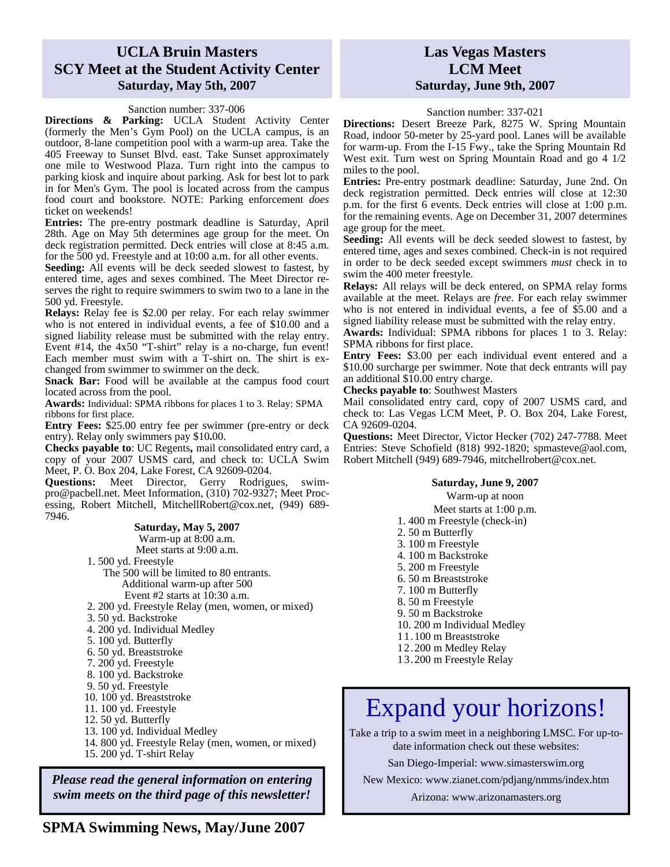#### **UCLA Bruin Masters SCY Meet at the Student Activity Center Saturday, May 5th, 2007**

#### Sanction number: 337-006

**Directions & Parking:** UCLA Student Activity Center (formerly the Men's Gym Pool) on the UCLA campus, is an outdoor, 8-lane competition pool with a warm-up area. Take the 405 Freeway to Sunset Blvd. east. Take Sunset approximately one mile to Westwood Plaza. Turn right into the campus to parking kiosk and inquire about parking. Ask for best lot to park in for Men's Gym. The pool is located across from the campus food court and bookstore. NOTE: Parking enforcement *does*  ticket on weekends!

**Entries:** The pre-entry postmark deadline is Saturday, April 28th. Age on May 5th determines age group for the meet. On deck registration permitted. Deck entries will close at 8:45 a.m. for the 500 yd. Freestyle and at 10:00 a.m. for all other events.

**Seeding:** All events will be deck seeded slowest to fastest, by entered time, ages and sexes combined. The Meet Director reserves the right to require swimmers to swim two to a lane in the 500 yd. Freestyle.

**Relays:** Relay fee is \$2.00 per relay. For each relay swimmer who is not entered in individual events, a fee of \$10.00 and a signed liability release must be submitted with the relay entry. Event #14, the 4x50 "T-shirt" relay is a no-charge, fun event! Each member must swim with a T-shirt on. The shirt is exchanged from swimmer to swimmer on the deck.

**Snack Bar:** Food will be available at the campus food court located across from the pool.

**Awards:** Individual: SPMA ribbons for places 1 to 3. Relay: SPMA ribbons for first place.

**Entry Fees:** \$25.00 entry fee per swimmer (pre-entry or deck entry). Relay only swimmers pay \$10**.**00.

**Checks payable to**: UC Regents**,** mail consolidated entry card, a copy of your 2007 USMS card, and check to: UCLA Swim Meet, P. O. Box 204, Lake Forest, CA 92609-0204.

**Questions:** Meet Director, Gerry Rodrigues, swimpro@pacbell.net. Meet Information, (310) 702-9327; Meet Processing, Robert Mitchell, MitchellRobert@cox.net, (949) 689- 7946.

#### **Saturday, May 5, 2007**

Warm-up at 8:00 a.m. Meet starts at 9:00 a.m.

1. 500 yd. Freestyle

The 500 will be limited to 80 entrants. Additional warm-up after 500 Event  $#2$  starts at  $10:30$  a.m.

- 2. 200 yd. Freestyle Relay (men, women, or mixed)
- 3. 50 yd. Backstroke
- 4. 200 yd. Individual Medley
- 5. 100 yd. Butterfly
- 6. 50 yd. Breaststroke
- 7. 200 yd. Freestyle
- 8. 100 yd. Backstroke
- 9. 50 yd. Freestyle
- 10. 100 yd. Breaststroke
- 11. 100 yd. Freestyle
- 12. 50 yd. Butterfly
- 13. 100 yd. Individual Medley
- 14. 800 yd. Freestyle Relay (men, women, or mixed)
- 15. 200 yd. T-shirt Relay

*Please read the general information on entering swim meets on the third page of this newsletter!* 

#### **Las Vegas Masters LCM Meet Saturday, June 9th, 2007**

Sanction number: 337-021

**Directions:** Desert Breeze Park, 8275 W. Spring Mountain Road, indoor 50-meter by 25-yard pool. Lanes will be available for warm-up. From the I-15 Fwy., take the Spring Mountain Rd West exit. Turn west on Spring Mountain Road and go 4 1/2 miles to the pool.

**Entries:** Pre-entry postmark deadline: Saturday, June 2nd. On deck registration permitted. Deck entries will close at 12:30 p.m. for the first 6 events. Deck entries will close at 1:00 p.m. for the remaining events. Age on December 31, 2007 determines age group for the meet.

**Seeding:** All events will be deck seeded slowest to fastest, by entered time, ages and sexes combined. Check-in is not required in order to be deck seeded except swimmers *must* check in to swim the 400 meter freestyle.

**Relays:** All relays will be deck entered, on SPMA relay forms available at the meet. Relays are *free*. For each relay swimmer who is not entered in individual events, a fee of \$5.00 and a signed liability release must be submitted with the relay entry.

**Awards:** Individual: SPMA ribbons for places 1 to 3. Relay: SPMA ribbons for first place.

**Entry Fees:** \$3.00 per each individual event entered and a \$10.00 surcharge per swimmer. Note that deck entrants will pay an additional \$10.00 entry charge.

**Checks payable to**: Southwest Masters

Mail consolidated entry card, copy of 2007 USMS card, and check to: Las Vegas LCM Meet, P. O. Box 204, Lake Forest, CA 92609-0204.

**Questions:** Meet Director, Victor Hecker (702) 247-7788. Meet Entries: Steve Schofield (818) 992-1820; spmasteve@aol.com, Robert Mitchell (949) 689-7946, mitchellrobert@cox.net.

#### **Saturday, June 9, 2007**

Warm-up at noon Meet starts at 1:00 p.m. 1. 400 m Freestyle (check-in) 2. 50 m Butterfly 3. 100 m Freestyle 4. 100 m Backstroke 5. 200 m Freestyle 6. 50 m Breaststroke 7. 100 m Butterfly 8. 50 m Freestyle 9. 50 m Backstroke 10. 200 m Individual Medley 11.100 m Breaststroke 12.200 m Medley Relay 13.200 m Freestyle Relay

# Expand your horizons!

Take a trip to a swim meet in a neighboring LMSC. For up-todate information check out these websites:

San Diego-Imperial: www.simasterswim.org

New Mexico: www.zianet.com/pdjang/nmms/index.htm

Arizona: www.arizonamasters.org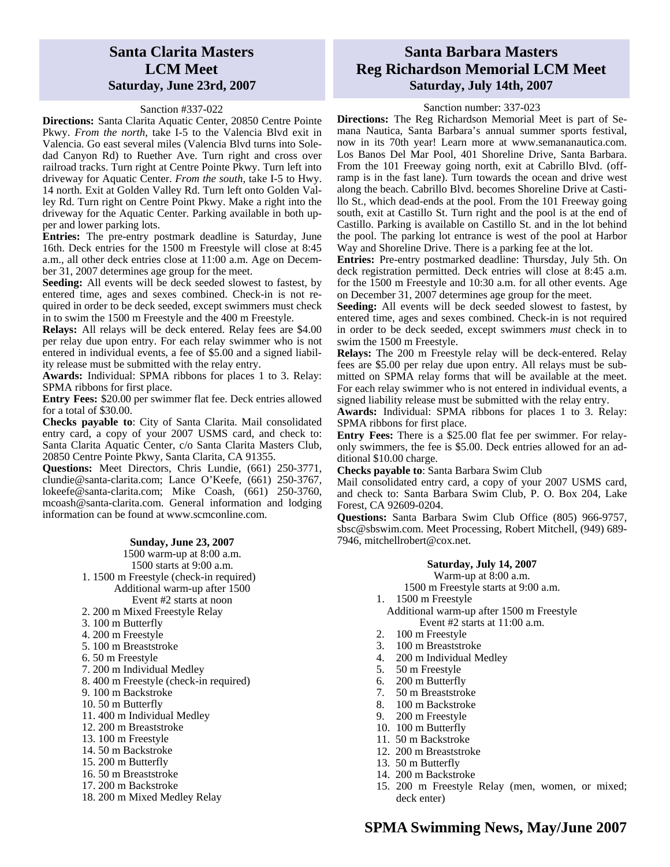#### **Santa Clarita Masters LCM Meet Saturday, June 23rd, 2007**

#### Sanction #337-022

**Directions:** Santa Clarita Aquatic Center, 20850 Centre Pointe Pkwy. *From the north*, take I-5 to the Valencia Blvd exit in Valencia. Go east several miles (Valencia Blvd turns into Soledad Canyon Rd) to Ruether Ave. Turn right and cross over railroad tracks. Turn right at Centre Pointe Pkwy. Turn left into driveway for Aquatic Center. *From the south*, take I-5 to Hwy. 14 north. Exit at Golden Valley Rd. Turn left onto Golden Valley Rd. Turn right on Centre Point Pkwy. Make a right into the driveway for the Aquatic Center. Parking available in both upper and lower parking lots.

**Entries:** The pre-entry postmark deadline is Saturday, June 16th. Deck entries for the 1500 m Freestyle will close at 8:45 a.m., all other deck entries close at 11:00 a.m. Age on December 31, 2007 determines age group for the meet.

**Seeding:** All events will be deck seeded slowest to fastest, by entered time, ages and sexes combined. Check-in is not required in order to be deck seeded, except swimmers must check in to swim the 1500 m Freestyle and the 400 m Freestyle.

**Relays:** All relays will be deck entered. Relay fees are \$4.00 per relay due upon entry. For each relay swimmer who is not entered in individual events, a fee of \$5.00 and a signed liability release must be submitted with the relay entry.

**Awards:** Individual: SPMA ribbons for places 1 to 3. Relay: SPMA ribbons for first place.

**Entry Fees:** \$20.00 per swimmer flat fee. Deck entries allowed for a total of \$30.00.

**Checks payable to**: City of Santa Clarita. Mail consolidated entry card, a copy of your 2007 USMS card, and check to: Santa Clarita Aquatic Center, c/o Santa Clarita Masters Club, 20850 Centre Pointe Pkwy, Santa Clarita, CA 91355.

**Questions:** Meet Directors, Chris Lundie, (661) 250-3771, clundie@santa-clarita.com; Lance O'Keefe, (661) 250-3767, lokeefe@santa-clarita.com; Mike Coash, (661) 250-3760, mcoash@santa-clarita.com. General information and lodging information can be found at www.scmconline.com.

#### **Sunday, June 23, 2007**

1500 warm-up at 8:00 a.m. 1500 starts at 9:00 a.m. 1. 1500 m Freestyle (check-in required) Additional warm-up after 1500 Event #2 starts at noon 2. 200 m Mixed Freestyle Relay 3. 100 m Butterfly 4. 200 m Freestyle 5. 100 m Breaststroke 6. 50 m Freestyle 7. 200 m Individual Medley 8. 400 m Freestyle (check-in required) 9. 100 m Backstroke 10. 50 m Butterfly 11. 400 m Individual Medley 12. 200 m Breaststroke 13. 100 m Freestyle 14. 50 m Backstroke 15. 200 m Butterfly

- 16. 50 m Breaststroke
- 17. 200 m Backstroke
- 18. 200 m Mixed Medley Relay

#### **Santa Barbara Masters Reg Richardson Memorial LCM Meet Saturday, July 14th, 2007**

#### Sanction number: 337-023

**Directions:** The Reg Richardson Memorial Meet is part of Semana Nautica, Santa Barbara's annual summer sports festival, now in its 70th year! Learn more at www.semananautica.com. Los Banos Del Mar Pool, 401 Shoreline Drive, Santa Barbara. From the 101 Freeway going north, exit at Cabrillo Blvd. (offramp is in the fast lane). Turn towards the ocean and drive west along the beach. Cabrillo Blvd. becomes Shoreline Drive at Castillo St., which dead-ends at the pool. From the 101 Freeway going south, exit at Castillo St. Turn right and the pool is at the end of Castillo. Parking is available on Castillo St. and in the lot behind the pool. The parking lot entrance is west of the pool at Harbor Way and Shoreline Drive. There is a parking fee at the lot.

**Entries:** Pre-entry postmarked deadline: Thursday, July 5th. On deck registration permitted. Deck entries will close at 8:45 a.m. for the 1500 m Freestyle and 10:30 a.m. for all other events. Age on December 31, 2007 determines age group for the meet.

**Seeding:** All events will be deck seeded slowest to fastest, by entered time, ages and sexes combined. Check-in is not required in order to be deck seeded, except swimmers *must* check in to swim the 1500 m Freestyle.

**Relays:** The 200 m Freestyle relay will be deck-entered. Relay fees are \$5.00 per relay due upon entry. All relays must be submitted on SPMA relay forms that will be available at the meet. For each relay swimmer who is not entered in individual events, a signed liability release must be submitted with the relay entry.

**Awards:** Individual: SPMA ribbons for places 1 to 3. Relay: SPMA ribbons for first place.

**Entry Fees:** There is a \$25.00 flat fee per swimmer. For relayonly swimmers, the fee is \$5.00. Deck entries allowed for an additional \$10.00 charge.

**Checks payable to**: Santa Barbara Swim Club

Mail consolidated entry card, a copy of your 2007 USMS card, and check to: Santa Barbara Swim Club, P. O. Box 204, Lake Forest, CA 92609-0204.

**Questions:** Santa Barbara Swim Club Office (805) 966-9757, sbsc@sbswim.com. Meet Processing, Robert Mitchell, (949) 689- 7946, mitchellrobert@cox.net.

#### **Saturday, July 14, 2007**

Warm-up at 8:00 a.m.

1500 m Freestyle starts at 9:00 a.m.

- 1. 1500 m Freestyle
	- Additional warm-up after 1500 m Freestyle Event #2 starts at 11:00 a.m.
- 2. 100 m Freestyle
- 3. 100 m Breaststroke
- 4. 200 m Individual Medley<br>5. 50 m Freestyle
- 
- 5. 50 m Freestyle<br>6. 200 m Butterfly 6. 200 m Butterfly<br>7. 50 m Breaststrol
- 7. 50 m Breaststroke
- 8. 100 m Backstroke<br>9. 200 m Freestyle
- 9. 200 m Freestyle
- 10. 100 m Butterfly
- 11. 50 m Backstroke
- 12. 200 m Breaststroke
- 13. 50 m Butterfly
- 14. 200 m Backstroke
- 15. 200 m Freestyle Relay (men, women, or mixed; deck enter)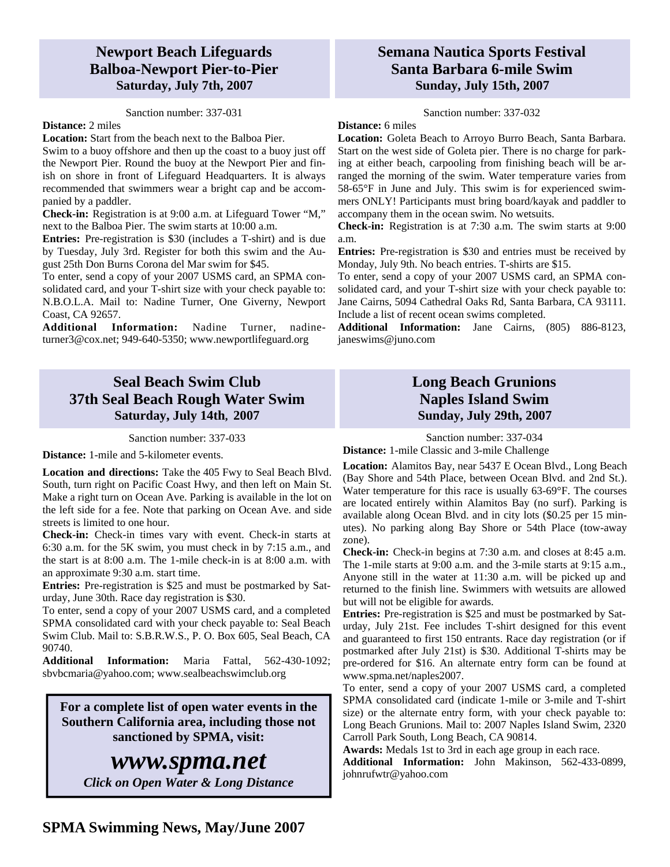#### **Newport Beach Lifeguards Balboa-Newport Pier-to-Pier Saturday, July 7th, 2007**

#### Sanction number: 337-031

#### **Distance:** 2 miles

**Location:** Start from the beach next to the Balboa Pier. Swim to a buoy offshore and then up the coast to a buoy just off the Newport Pier. Round the buoy at the Newport Pier and finish on shore in front of Lifeguard Headquarters. It is always recommended that swimmers wear a bright cap and be accompanied by a paddler.

**Check-in:** Registration is at 9:00 a.m. at Lifeguard Tower "M," next to the Balboa Pier. The swim starts at 10:00 a.m.

**Entries:** Pre-registration is \$30 (includes a T-shirt) and is due by Tuesday, July 3rd. Register for both this swim and the August 25th Don Burns Corona del Mar swim for \$45.

To enter, send a copy of your 2007 USMS card, an SPMA consolidated card, and your T-shirt size with your check payable to: N.B.O.L.A. Mail to: Nadine Turner, One Giverny, Newport Coast, CA 92657.

**Additional Information:** Nadine Turner, nadineturner3@cox.net; 949-640-5350; www.newportlifeguard.org

#### **Seal Beach Swim Club 37th Seal Beach Rough Water Swim Saturday, July 14th, 2007**

Sanction number: 337-033

**Distance:** 1-mile and 5-kilometer events.

**Location and directions:** Take the 405 Fwy to Seal Beach Blvd. South, turn right on Pacific Coast Hwy, and then left on Main St. Make a right turn on Ocean Ave. Parking is available in the lot on the left side for a fee. Note that parking on Ocean Ave. and side streets is limited to one hour.

**Check-in:** Check-in times vary with event. Check-in starts at 6:30 a.m. for the 5K swim, you must check in by 7:15 a.m., and the start is at 8:00 a.m. The 1-mile check-in is at 8:00 a.m. with an approximate 9:30 a.m. start time.

**Entries:** Pre-registration is \$25 and must be postmarked by Saturday, June 30th. Race day registration is \$30.

To enter, send a copy of your 2007 USMS card, and a completed SPMA consolidated card with your check payable to: Seal Beach Swim Club. Mail to: S.B.R.W.S., P. O. Box 605, Seal Beach, CA 90740.

**Additional Information:** Maria Fattal, 562-430-1092; sbvbcmaria@yahoo.com; www.sealbeachswimclub.org

**For a complete list of open water events in the Southern California area, including those not sanctioned by SPMA, visit:** 

### *www.spma.net*

*Click on Open Water & Long Distance* 

#### **Semana Nautica Sports Festival Santa Barbara 6-mile Swim Sunday, July 15th, 2007**

Sanction number: 337-032

#### **Distance:** 6 miles

**Location:** Goleta Beach to Arroyo Burro Beach, Santa Barbara. Start on the west side of Goleta pier. There is no charge for parking at either beach, carpooling from finishing beach will be arranged the morning of the swim. Water temperature varies from 58-65°F in June and July. This swim is for experienced swimmers ONLY! Participants must bring board/kayak and paddler to accompany them in the ocean swim. No wetsuits.

**Check-in:** Registration is at 7:30 a.m. The swim starts at 9:00 a.m.

**Entries:** Pre-registration is \$30 and entries must be received by Monday, July 9th. No beach entries. T-shirts are \$15.

To enter, send a copy of your 2007 USMS card, an SPMA consolidated card, and your T-shirt size with your check payable to: Jane Cairns, 5094 Cathedral Oaks Rd, Santa Barbara, CA 93111. Include a list of recent ocean swims completed.

**Additional Information:** Jane Cairns, (805) 886-8123, janeswims@juno.com

#### **Long Beach Grunions Naples Island Swim Sunday, July 29th, 2007**

#### Sanction number: 337-034

**Distance:** 1-mile Classic and 3-mile Challenge

**Location:** Alamitos Bay, near 5437 E Ocean Blvd., Long Beach (Bay Shore and 54th Place, between Ocean Blvd. and 2nd St.). Water temperature for this race is usually 63-69°F. The courses are located entirely within Alamitos Bay (no surf). Parking is available along Ocean Blvd. and in city lots (\$0.25 per 15 minutes). No parking along Bay Shore or 54th Place (tow-away zone).

**Check-in:** Check-in begins at 7:30 a.m. and closes at 8:45 a.m. The 1-mile starts at 9:00 a.m. and the 3-mile starts at 9:15 a.m., Anyone still in the water at 11:30 a.m. will be picked up and returned to the finish line. Swimmers with wetsuits are allowed but will not be eligible for awards.

**Entries:** Pre-registration is \$25 and must be postmarked by Saturday, July 21st. Fee includes T-shirt designed for this event and guaranteed to first 150 entrants. Race day registration (or if postmarked after July 21st) is \$30. Additional T-shirts may be pre-ordered for \$16. An alternate entry form can be found at www.spma.net/naples2007.

To enter, send a copy of your 2007 USMS card, a completed SPMA consolidated card (indicate 1-mile or 3-mile and T-shirt size) or the alternate entry form, with your check payable to: Long Beach Grunions. Mail to: 2007 Naples Island Swim, 2320 Carroll Park South, Long Beach, CA 90814.

**Awards:** Medals 1st to 3rd in each age group in each race.

**Additional Information:** John Makinson, 562-433-0899, johnrufwtr@yahoo.com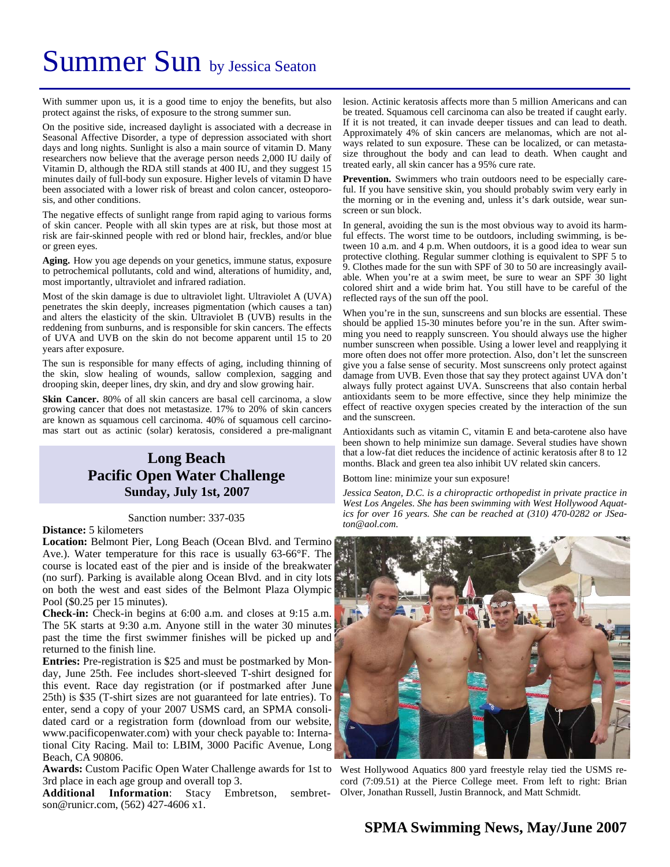# Summer Sun by Jessica Seaton

With summer upon us, it is a good time to enjoy the benefits, but also protect against the risks, of exposure to the strong summer sun.

On the positive side, increased daylight is associated with a decrease in Seasonal Affective Disorder, a type of depression associated with short days and long nights. Sunlight is also a main source of vitamin D. Many researchers now believe that the average person needs 2,000 IU daily of Vitamin D, although the RDA still stands at 400 IU, and they suggest 15 minutes daily of full-body sun exposure. Higher levels of vitamin D have been associated with a lower risk of breast and colon cancer, osteoporosis, and other conditions.

The negative effects of sunlight range from rapid aging to various forms of skin cancer. People with all skin types are at risk, but those most at risk are fair-skinned people with red or blond hair, freckles, and/or blue or green eyes.

**Aging.** How you age depends on your genetics, immune status, exposure to petrochemical pollutants, cold and wind, alterations of humidity, and, most importantly, ultraviolet and infrared radiation.

Most of the skin damage is due to ultraviolet light. Ultraviolet A (UVA) penetrates the skin deeply, increases pigmentation (which causes a tan) and alters the elasticity of the skin. Ultraviolet B (UVB) results in the reddening from sunburns, and is responsible for skin cancers. The effects of UVA and UVB on the skin do not become apparent until 15 to 20 years after exposure.

The sun is responsible for many effects of aging, including thinning of the skin, slow healing of wounds, sallow complexion, sagging and drooping skin, deeper lines, dry skin, and dry and slow growing hair.

**Skin Cancer.** 80% of all skin cancers are basal cell carcinoma, a slow growing cancer that does not metastasize. 17% to 20% of skin cancers are known as squamous cell carcinoma. 40% of squamous cell carcinomas start out as actinic (solar) keratosis, considered a pre-malignant

#### **Long Beach Pacific Open Water Challenge Sunday, July 1st, 2007**

#### Sanction number: 337-035

#### **Distance:** 5 kilometers

**Location:** Belmont Pier, Long Beach (Ocean Blvd. and Termino Ave.). Water temperature for this race is usually 63-66°F. The course is located east of the pier and is inside of the breakwater (no surf). Parking is available along Ocean Blvd. and in city lots on both the west and east sides of the Belmont Plaza Olympic Pool (\$0.25 per 15 minutes).

**Check-in:** Check-in begins at 6:00 a.m. and closes at 9:15 a.m. The 5K starts at 9:30 a.m. Anyone still in the water 30 minutes past the time the first swimmer finishes will be picked up and returned to the finish line.

**Entries:** Pre-registration is \$25 and must be postmarked by Monday, June 25th. Fee includes short-sleeved T-shirt designed for this event. Race day registration (or if postmarked after June 25th) is \$35 (T-shirt sizes are not guaranteed for late entries). To enter, send a copy of your 2007 USMS card, an SPMA consolidated card or a registration form (download from our website, www.pacificopenwater.com) with your check payable to: International City Racing. Mail to: LBIM, 3000 Pacific Avenue, Long Beach, CA 90806.

Awards: Custom Pacific Open Water Challenge awards for 1st to West Hollywood Aquatics 800 yard freestyle relay tied the USMS re-3rd place in each age group and overall top 3.

**Additional Information**: Stacy Embretson, sembretson@runicr.com, (562) 427-4606 x1.

lesion. Actinic keratosis affects more than 5 million Americans and can be treated. Squamous cell carcinoma can also be treated if caught early. If it is not treated, it can invade deeper tissues and can lead to death. Approximately 4% of skin cancers are melanomas, which are not always related to sun exposure. These can be localized, or can metastasize throughout the body and can lead to death. When caught and treated early, all skin cancer has a 95% cure rate.

**Prevention.** Swimmers who train outdoors need to be especially careful. If you have sensitive skin, you should probably swim very early in the morning or in the evening and, unless it's dark outside, wear sunscreen or sun block.

In general, avoiding the sun is the most obvious way to avoid its harmful effects. The worst time to be outdoors, including swimming, is between 10 a.m. and 4 p.m. When outdoors, it is a good idea to wear sun protective clothing. Regular summer clothing is equivalent to SPF 5 to 9. Clothes made for the sun with SPF of 30 to 50 are increasingly available. When you're at a swim meet, be sure to wear an SPF 30 light colored shirt and a wide brim hat. You still have to be careful of the reflected rays of the sun off the pool.

When you're in the sun, sunscreens and sun blocks are essential. These should be applied 15-30 minutes before you're in the sun. After swimming you need to reapply sunscreen. You should always use the higher number sunscreen when possible. Using a lower level and reapplying it more often does not offer more protection. Also, don't let the sunscreen give you a false sense of security. Most sunscreens only protect against damage from UVB. Even those that say they protect against UVA don't always fully protect against UVA. Sunscreens that also contain herbal antioxidants seem to be more effective, since they help minimize the effect of reactive oxygen species created by the interaction of the sun and the sunscreen.

Antioxidants such as vitamin C, vitamin E and beta-carotene also have been shown to help minimize sun damage. Several studies have shown that a low-fat diet reduces the incidence of actinic keratosis after 8 to 12 months. Black and green tea also inhibit UV related skin cancers.

Bottom line: minimize your sun exposure!

*Jessica Seaton, D.C. is a chiropractic orthopedist in private practice in West Los Angeles. She has been swimming with West Hollywood Aquatics for over 16 years. She can be reached at (310) 470-0282 or JSeaton@aol.com.* 



cord (7:09.51) at the Pierce College meet. From left to right: Brian Olver, Jonathan Russell, Justin Brannock, and Matt Schmidt.